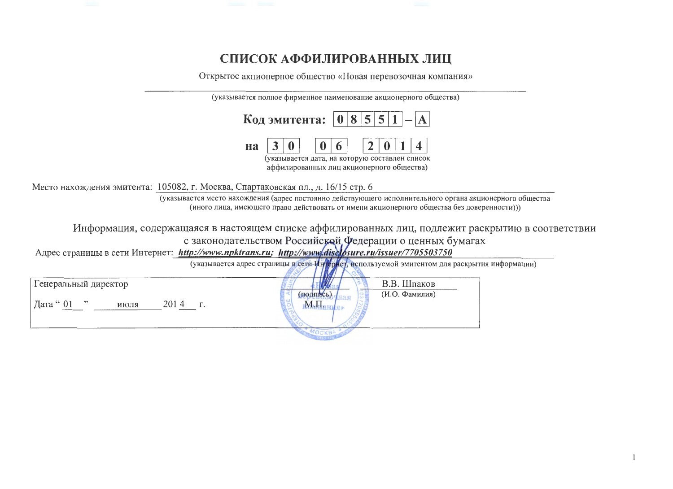## СПИСОК АФФИЛИРОВАННЫХ ЛИЦ

Открытое акционерное общество «Новая перевозочная компания»

|    | Код эмитента: $ 0 8 5 5 1 - A $                                                                                  |
|----|------------------------------------------------------------------------------------------------------------------|
| Ha | 6<br>$\mathbf{2}$<br>(указывается дата, на которую составлен список<br>аффилированных лиц акционерного общества) |

Место нахождения эмитента: 105082, г. Москва, Спартаковская пл., д. 16/15 стр. 6

(указывается место нахождения (адрес постоянно действующего исполнительного органа акционерного общества (иного лица, имеющего право действовать от имени акционерного общества без доверенности)))

Информация, содержащаяся в настоящем списке аффилированных лиц, подлежит раскрытию в соответствии с законодательством Российской Федерации о ценных бумагах<br>Адрес страницы в сети Интернет: http://www.npktrans.ru; http://www.disclosure.ru/issuer/7705503750

|                                                   | (указывается адрес страницы в сети Интернет, используемой эмитентом для раскрытия информации) |  |
|---------------------------------------------------|-----------------------------------------------------------------------------------------------|--|
| Генеральный директор<br>2014<br>Дата " 01<br>июля | В.В. Шпаков<br>(И.О. Фамилия)                                                                 |  |
|                                                   | <b>TIVIALIA</b>                                                                               |  |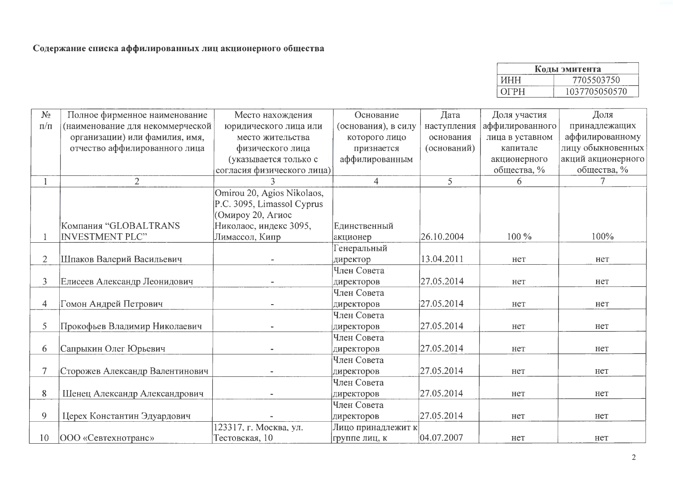| Коды эмитента |               |  |  |  |  |  |  |
|---------------|---------------|--|--|--|--|--|--|
| ИНН           | 7705503750    |  |  |  |  |  |  |
| <b>OFPH</b>   | 1037705050570 |  |  |  |  |  |  |

| $N_{\!}\Omega$ | Полное фирменное наименование   | Место нахождения           | Основание           | Дата        | Доля участия    | Доля               |
|----------------|---------------------------------|----------------------------|---------------------|-------------|-----------------|--------------------|
| $\Pi/\Pi$      | наименование для некоммерческой | юридического лица или      | (основания), в силу | наступления | аффилированного | принадлежащих      |
|                | организации) или фамилия, имя,  | место жительства           | которого лицо       | основания   | лица в уставном | аффилированному    |
|                | отчество аффилированного лица   | физического лица           | признается          | (оснований) | капитале        | лицу обыкновенных  |
|                |                                 | (указывается только с      | аффилированным      |             | акционерного    | акций акционерного |
|                |                                 | согласия физического лица) |                     |             | общества, %     | общества, %        |
|                | $\overline{2}$                  |                            | $\overline{4}$      | 5           | 6               | 7                  |
|                |                                 | Omirou 20, Agios Nikolaos, |                     |             |                 |                    |
|                |                                 | P.C. 3095, Limassol Cyprus |                     |             |                 |                    |
|                |                                 | Омироу 20, Агиос           |                     |             |                 |                    |
|                | Компания "GLOBALTRANS           | Николаос, индекс 3095,     | Единственный        |             |                 |                    |
|                | <b>INVESTMENT PLC"</b>          | Лимассол, Кипр             | акционер            | 26.10.2004  | 100 %           | 100%               |
|                |                                 |                            | Генеральный         |             |                 |                    |
| $\overline{2}$ | Шпаков Валерий Васильевич       |                            | директор            | 13.04.2011  | нет             | нет                |
|                |                                 |                            | Член Совета         |             |                 |                    |
| $\overline{3}$ | Елисеев Александр Леонидович    |                            | директоров          | 27.05.2014  | нет             | нет                |
|                |                                 |                            | Член Совета         |             |                 |                    |
| 4              | Гомон Андрей Петрович           |                            | директоров          | 27.05.2014  | нет             | нет                |
|                |                                 |                            | Член Совета         |             |                 |                    |
| 5              | Прокофьев Владимир Николаевич   |                            | директоров          | 27.05.2014  | нет             | нет                |
|                |                                 |                            | Член Совета         |             |                 |                    |
| 6              | Сапрыкин Олег Юрьевич           |                            | директоров          | 27.05.2014  | нет             | Het                |
|                |                                 |                            | Член Совета         |             |                 |                    |
| $\tau$         | Сторожев Александр Валентинович |                            | директоров          | 27.05.2014  | нет             | нет                |
|                |                                 |                            | Член Совета         |             |                 |                    |
| 8              | Шенец Александр Александрович   |                            | директоров          | 27.05.2014  | нет             | нет                |
|                |                                 |                            | Член Совета         |             |                 |                    |
| 9              | Церех Константин Эдуардович     |                            | директоров          | 27.05.2014  | нет             | нет                |
|                |                                 | 123317, г. Москва, ул.     | Лицо принадлежит к  |             |                 |                    |
| 10             | <b>ООО</b> «Севтехнотранс»      | Тестовская, 10             | группе лиц, к       | 04.07.2007  | нет             | нет                |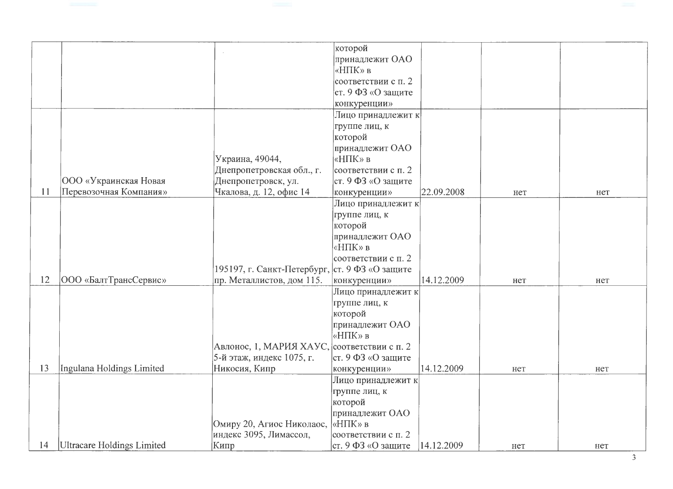|    |                            |                                                | которой                |            |     |     |
|----|----------------------------|------------------------------------------------|------------------------|------------|-----|-----|
|    |                            |                                                | принадлежит ОАО        |            |     |     |
|    |                            |                                                | «НПК» в                |            |     |     |
|    |                            |                                                | соответствии с п. 2    |            |     |     |
|    |                            |                                                | ст. 9 ФЗ «О защите     |            |     |     |
|    |                            |                                                | конкуренции»           |            |     |     |
|    |                            |                                                | Лицо принадлежит к     |            |     |     |
|    |                            |                                                | группе лиц, к          |            |     |     |
|    |                            |                                                | которой                |            |     |     |
|    |                            |                                                | принадлежит ОАО        |            |     |     |
|    |                            | Украина, 49044,                                | «НПК» в                |            |     |     |
|    |                            | Днепропетровская обл., г.                      | соответствии с п. 2    |            |     |     |
|    | ООО «Украинская Новая      | Днепропетровск, ул.                            | $ c$ т. 9 ФЗ «О защите |            |     |     |
| 11 | Перевозочная Компания»     | Чкалова, д. 12, офис 14                        | конкуренции»           | 22.09.2008 | нет | нет |
|    |                            |                                                | Лицо принадлежит к     |            |     |     |
|    |                            |                                                | группе лиц, к          |            |     |     |
|    |                            |                                                | которой                |            |     |     |
|    |                            |                                                | принадлежит ОАО        |            |     |     |
|    |                            |                                                | «НПК» в                |            |     |     |
|    |                            |                                                | соответствии с п. 2    |            |     |     |
|    |                            | 195197, г. Санкт-Петербург, ст. 9 ФЗ «О защите |                        |            |     |     |
| 12 | ООО «БалтТрансСервис»      | пр. Металлистов, дом 115.                      | конкуренции»           | 14.12.2009 | нет | нет |
|    |                            |                                                | Лицо принадлежит к     |            |     |     |
|    |                            |                                                | группе лиц, к          |            |     |     |
|    |                            |                                                | которой                |            |     |     |
|    |                            |                                                | принадлежит ОАО        |            |     |     |
|    |                            |                                                | «НПК» в                |            |     |     |
|    |                            | Авлонос, 1, МАРИЯ ХАУС, соответствии с п. 2    |                        |            |     |     |
|    |                            | 5-й этаж, индекс 1075, г.                      | ст. 9 ФЗ «О защите     |            |     |     |
| 13 | Ingulana Holdings Limited  | Никосия, Кипр                                  | конкуренции»           | 14.12.2009 | нет | нет |
|    |                            |                                                | Лицо принадлежит к     |            |     |     |
|    |                            |                                                | группе лиц, к          |            |     |     |
|    |                            |                                                | которой                |            |     |     |
|    |                            |                                                | принадлежит ОАО        |            |     |     |
|    |                            | Омиру 20, Агиос Николаос,                      | «НПК» в                |            |     |     |
|    |                            | индекс 3095, Лимассол,                         | соответствии с п. 2    |            |     |     |
| 14 | Ultracare Holdings Limited | Кипр                                           | ст. 9 ФЗ «О защите     | 14.12.2009 | нет | нет |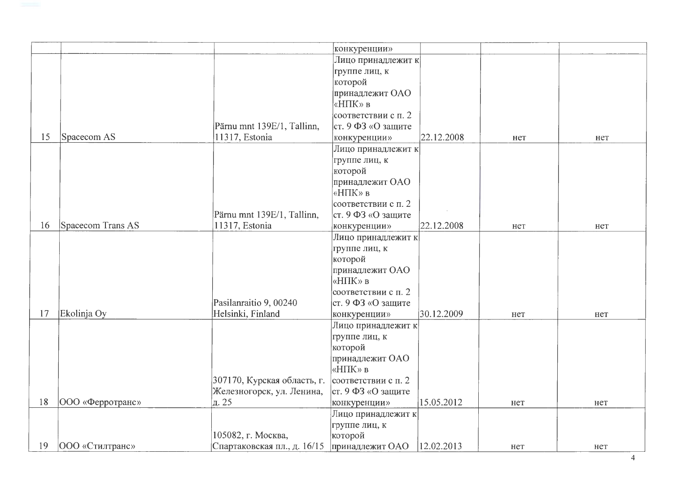|    |                         |                             | конкуренции»             |            |     |     |
|----|-------------------------|-----------------------------|--------------------------|------------|-----|-----|
|    |                         |                             | Лицо принадлежит к       |            |     |     |
|    |                         |                             | группе лиц, к            |            |     |     |
|    |                         |                             | которой                  |            |     |     |
|    |                         |                             | принадлежит ОАО          |            |     |     |
|    |                         |                             | «НПК» в                  |            |     |     |
|    |                         |                             | соответствии с п. 2      |            |     |     |
|    |                         | Pärnu mnt 139E/1, Tallinn,  | ст. 9 ФЗ «О защите       |            |     |     |
| 15 | Spacecom AS             | 11317, Estonia              | конкуренции»             | 22.12.2008 | нет | нет |
|    |                         |                             | Лицо принадлежит к       |            |     |     |
|    |                         |                             | группе лиц, к            |            |     |     |
|    |                         |                             | которой                  |            |     |     |
|    |                         |                             | принадлежит ОАО          |            |     |     |
|    |                         |                             | «НПК» в                  |            |     |     |
|    |                         |                             | соответствии с п. 2      |            |     |     |
|    |                         | Pärnu mnt 139E/1, Tallinn,  | ст. 9 ФЗ «О защите       |            |     |     |
| 16 | Spacecom Trans AS       | 11317, Estonia              | конкуренции»             | 22.12.2008 | нет | нет |
|    |                         |                             | Лицо принадлежит к       |            |     |     |
|    |                         |                             | группе лиц, к            |            |     |     |
|    |                         |                             | которой                  |            |     |     |
|    |                         |                             | принадлежит ОАО          |            |     |     |
|    |                         |                             | «НПК» в                  |            |     |     |
|    |                         |                             | соответствии с п. 2      |            |     |     |
|    |                         | Pasilanraitio 9, 00240      | ст. 9 ФЗ «О защите       |            |     |     |
| 17 | Ekolinja Oy             | Helsinki, Finland           | конкуренции»             | 30.12.2009 | нет | нет |
|    |                         |                             | Лицо принадлежит к       |            |     |     |
|    |                         |                             | группе лиц, к            |            |     |     |
|    |                         |                             | которой                  |            |     |     |
|    |                         |                             | принадлежит ОАО          |            |     |     |
|    |                         |                             | «НПК» в                  |            |     |     |
|    |                         | 307170, Курская область, г. | соответствии с п. 2      |            |     |     |
|    |                         | Железногорск, ул. Ленина,   | $ cr. 9 \Phi3$ «О защите |            |     |     |
| 18 | <b>ООО</b> «Ферротранс» | $\vert$ д. 25               | конкуренции»             | 15.05.2012 | нет | нет |
|    |                         |                             | Лицо принадлежит к       |            |     |     |
|    |                         |                             | группе лиц, к            |            |     |     |
|    |                         | 105082, г. Москва,          | которой                  |            |     |     |
| 19 | ООО «Стилтранс»         | Спартаковская пл., д. 16/15 | принадлежит ОАО          | 12.02.2013 | нет | нет |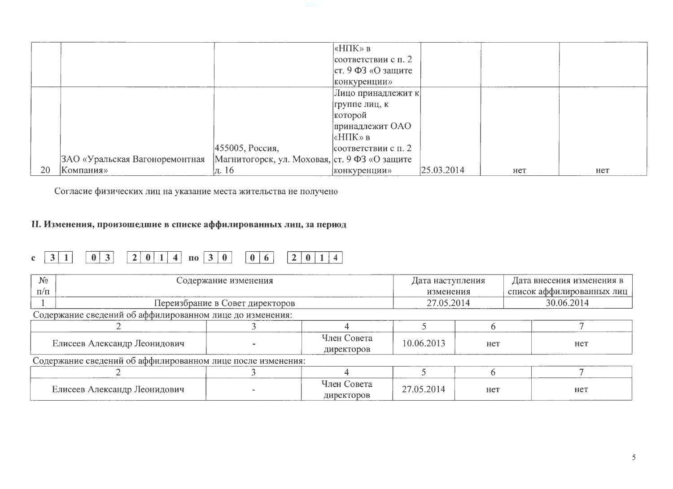|    |                                |                                               | «НПК» в<br>соответствии с п. 2                           |            |     |     |
|----|--------------------------------|-----------------------------------------------|----------------------------------------------------------|------------|-----|-----|
|    |                                |                                               | $ cr. 9 \Phi 3 \langle 0 \rangle$ защите<br>конкуренции» |            |     |     |
|    |                                |                                               | Лицо принадлежит к                                       |            |     |     |
|    |                                |                                               | группе лиц, к                                            |            |     |     |
|    |                                |                                               | которой                                                  |            |     |     |
|    |                                |                                               | принадлежит ОАО                                          |            |     |     |
|    |                                |                                               | $\kappa$ НПК» в                                          |            |     |     |
|    |                                | 455005, Россия,                               | соответствии с п. 2                                      |            |     |     |
|    | ЗАО «Уральская Вагоноремонтная | Магнитогорск, ул. Моховая, ст. 9 ФЗ «О защите |                                                          |            |     |     |
| 20 | Компания»                      | д. 16                                         | конкуренции»                                             | 25.03.2014 | нет | Het |

Согласие физических лиц на указание места жительства не получено

## II. Изменения, произошедшие в списке аффилированных лиц, за период

## $20114$  no  $30$  $3 \mid 1$  $\boxed{0}$  3  $\boxed{0}$  6  $\begin{array}{|c|c|c|c|c|}\n\hline\n2 & 0 & 1 & 4\n\end{array}$  $\mathbf{c}$

| $N_2$<br>$\Pi/\Pi$           | Содержание изменения                                        |                                 |                           | Дата наступления<br>изменения |     | Дата внесения изменения в<br>список аффилированных лиц |            |  |
|------------------------------|-------------------------------------------------------------|---------------------------------|---------------------------|-------------------------------|-----|--------------------------------------------------------|------------|--|
|                              |                                                             | Переизбрание в Совет директоров |                           | 27.05.2014                    |     |                                                        | 30.06.2014 |  |
|                              | Содержание сведений об аффилированном лице до изменения:    |                                 |                           |                               |     |                                                        |            |  |
|                              |                                                             |                                 |                           |                               |     |                                                        |            |  |
| Елисеев Александр Леонидович |                                                             |                                 | Член Совета<br>директоров | 10.06.2013                    | Het |                                                        | нет        |  |
|                              | Содержание сведений об аффилированном лице после изменения: |                                 |                           |                               |     |                                                        |            |  |
|                              |                                                             |                                 |                           |                               |     |                                                        |            |  |
|                              | Елисеев Александр Леонидович                                |                                 | Член Совета<br>директоров | 27.05.2014                    | Het |                                                        | Het        |  |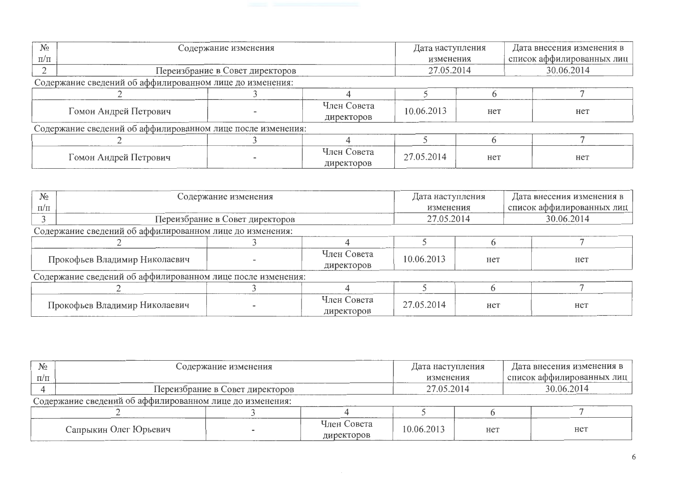| $N_2$                                                    | Содержание изменения                                        |  |                           |            | Дата наступления | Дата внесения изменения в |  |
|----------------------------------------------------------|-------------------------------------------------------------|--|---------------------------|------------|------------------|---------------------------|--|
| $\Pi/\Pi$                                                |                                                             |  |                           | изменения  |                  | список аффилированных лиц |  |
|                                                          | Переизбрание в Совет директоров                             |  |                           | 27.05.2014 |                  | 30.06.2014                |  |
| Содержание сведений об аффилированном лице до изменения: |                                                             |  |                           |            |                  |                           |  |
|                                                          |                                                             |  |                           |            |                  |                           |  |
|                                                          | Гомон Андрей Петрович                                       |  | Член Совета<br>директоров | 10.06.2013 | Het              | нет                       |  |
|                                                          | Содержание сведений об аффилированном лице после изменения: |  |                           |            |                  |                           |  |
|                                                          |                                                             |  |                           |            |                  |                           |  |
|                                                          | Гомон Андрей Петрович                                       |  | Член Совета<br>директоров | 27.05.2014 | нет              | Het                       |  |

| $N_2$                                                    | Содержание изменения                                        |                                 |                           | Дата наступления |     | Дата внесения изменения в<br>список аффилированных лиц |  |
|----------------------------------------------------------|-------------------------------------------------------------|---------------------------------|---------------------------|------------------|-----|--------------------------------------------------------|--|
| $\Pi/\Pi$                                                |                                                             |                                 |                           | изменения        |     |                                                        |  |
|                                                          |                                                             | Переизбрание в Совет директоров |                           | 27.05.2014       |     | 30.06.2014                                             |  |
| Содержание сведений об аффилированном лице до изменения: |                                                             |                                 |                           |                  |     |                                                        |  |
|                                                          |                                                             |                                 |                           |                  |     |                                                        |  |
| Прокофьев Владимир Николаевич                            |                                                             |                                 | Член Совета<br>директоров | 10.06.2013       | нет | нет                                                    |  |
|                                                          | Содержание сведений об аффилированном лице после изменения: |                                 |                           |                  |     |                                                        |  |
|                                                          |                                                             |                                 |                           |                  |     |                                                        |  |
|                                                          | Прокофьев Владимир Николаевич                               |                                 | Член Совета<br>директоров | 27.05.2014       | Het | нет                                                    |  |

| $N_2$     | Содержание изменения                                     |  |                           | Дата наступления |     | Дата внесения изменения в |  |  |  |
|-----------|----------------------------------------------------------|--|---------------------------|------------------|-----|---------------------------|--|--|--|
| $\Pi/\Pi$ |                                                          |  |                           | изменения        |     | список аффилированных лиц |  |  |  |
|           | Переизбрание в Совет директоров                          |  |                           | 27.05.2014       |     | 30.06.2014                |  |  |  |
|           | Содержание сведений об аффилированном лице до изменения: |  |                           |                  |     |                           |  |  |  |
|           |                                                          |  |                           |                  |     |                           |  |  |  |
|           | Сапрыкин Олег Юрьевич                                    |  | Член Совета<br>директоров | 10.06.2013       | нет | Het                       |  |  |  |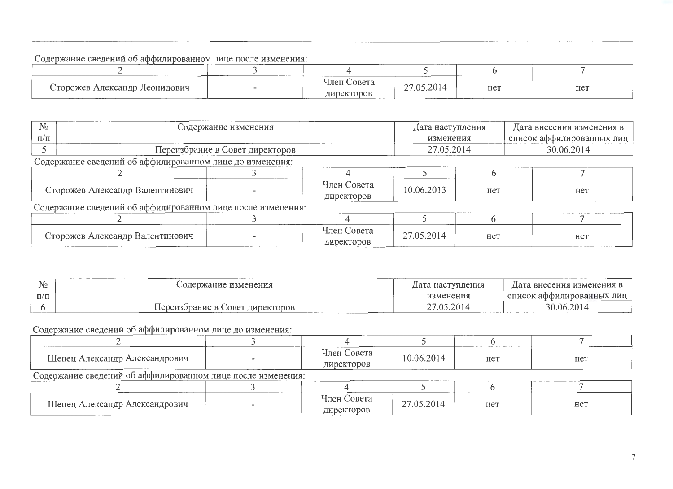## Содержание сведений об аффилированном лице после изменения:

| -------                                |                   |                                         |      |     |     |
|----------------------------------------|-------------------|-----------------------------------------|------|-----|-----|
| Сторожев Александр Леонидович<br>_____ | <b>CONTRACTOR</b> | Совета<br>Член (<br>директоров<br>_____ | .201 | нет | нет |

| $N_2$                                                       | Содержание изменения                                     |  |                           | Дата наступления |     | Дата внесения изменения в |            |  |
|-------------------------------------------------------------|----------------------------------------------------------|--|---------------------------|------------------|-----|---------------------------|------------|--|
| $\Pi/\Pi$                                                   |                                                          |  |                           | изменения        |     | список аффилированных лиц |            |  |
|                                                             | Переизбрание в Совет директоров                          |  |                           | 27.05.2014       |     |                           | 30.06.2014 |  |
|                                                             | Содержание сведений об аффилированном лице до изменения: |  |                           |                  |     |                           |            |  |
|                                                             |                                                          |  |                           |                  |     |                           |            |  |
| Сторожев Александр Валентинович                             |                                                          |  | Член Совета<br>директоров | 10.06.2013       | нет |                           | нет        |  |
| Содержание сведений об аффилированном лице после изменения: |                                                          |  |                           |                  |     |                           |            |  |
|                                                             |                                                          |  |                           |                  |     |                           |            |  |
|                                                             | Сторожев Александр Валентинович                          |  | Член Совета<br>директоров | 27.05.2014       | нет |                           | нет        |  |

| ٦I٥<br>⊻יצ | изменения<br><i>i</i> mar                                    | Дата наступления                                  | внесения изменения<br>'la                       |  |
|------------|--------------------------------------------------------------|---------------------------------------------------|-------------------------------------------------|--|
| $\Pi/\Pi$  |                                                              | изменения                                         | . лиг<br><b>^ОВанных</b><br>списс<br>аα<br>---- |  |
|            | директоров<br>рание<br>$\bigcirc$ obey<br>. lepeизr<br>_____ | $\bigcap$ $\bigcap$ 1<br>า≂<br>$\sim$<br><u>_</u> | $\cap$<br>30.<br>-06.<br>___                    |  |

Содержание сведений об аффилированном лице до изменения:

| Шенец Александр Александрович                               |  | Член Совета<br>директоров | 10.06.2014 | Het | нет |  |  |
|-------------------------------------------------------------|--|---------------------------|------------|-----|-----|--|--|
| Содержание сведений об аффилированном лице после изменения: |  |                           |            |     |     |  |  |
|                                                             |  |                           |            |     |     |  |  |
| Шенец Александр Александрович                               |  | Член Совета<br>директоров | 27.05.2014 | нет | нет |  |  |